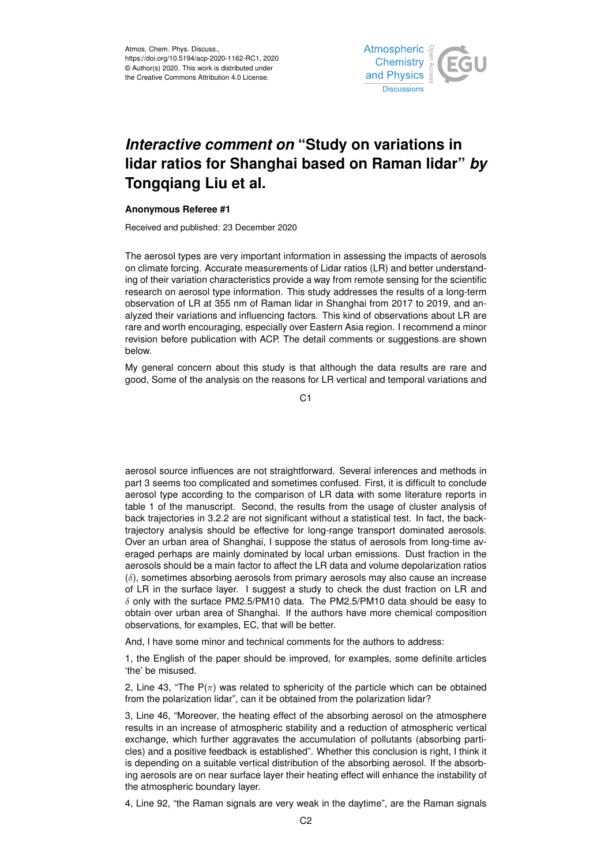

## *Interactive comment on* **"Study on variations in lidar ratios for Shanghai based on Raman lidar"** *by* **Tongqiang Liu et al.**

## **Anonymous Referee #1**

Received and published: 23 December 2020

The aerosol types are very important information in assessing the impacts of aerosols on climate forcing. Accurate measurements of Lidar ratios (LR) and better understanding of their variation characteristics provide a way from remote sensing for the scientific research on aerosol type information. This study addresses the results of a long-term observation of LR at 355 nm of Raman lidar in Shanghai from 2017 to 2019, and analyzed their variations and influencing factors. This kind of observations about LR are rare and worth encouraging, especially over Eastern Asia region. I recommend a minor revision before publication with ACP. The detail comments or suggestions are shown below.

My general concern about this study is that although the data results are rare and good, Some of the analysis on the reasons for LR vertical and temporal variations and

 $C<sub>1</sub>$ 

aerosol source influences are not straightforward. Several inferences and methods in part 3 seems too complicated and sometimes confused. First, it is difficult to conclude aerosol type according to the comparison of LR data with some literature reports in table 1 of the manuscript. Second, the results from the usage of cluster analysis of back trajectories in 3.2.2 are not significant without a statistical test. In fact, the backtrajectory analysis should be effective for long-range transport dominated aerosols. Over an urban area of Shanghai, I suppose the status of aerosols from long-time averaged perhaps are mainly dominated by local urban emissions. Dust fraction in the aerosols should be a main factor to affect the LR data and volume depolarization ratios  $(\delta)$ , sometimes absorbing aerosols from primary aerosols may also cause an increase of LR in the surface layer. I suggest a study to check the dust fraction on LR and  $\delta$  only with the surface PM2.5/PM10 data. The PM2.5/PM10 data should be easy to obtain over urban area of Shanghai. If the authors have more chemical composition observations, for examples, EC, that will be better.

And, I have some minor and technical comments for the authors to address:

1, the English of the paper should be improved, for examples, some definite articles 'the' be misused.

2, Line 43, "The  $P(\pi)$  was related to sphericity of the particle which can be obtained from the polarization lidar", can it be obtained from the polarization lidar?

3, Line 46, "Moreover, the heating effect of the absorbing aerosol on the atmosphere results in an increase of atmospheric stability and a reduction of atmospheric vertical exchange, which further aggravates the accumulation of pollutants (absorbing particles) and a positive feedback is established". Whether this conclusion is right, I think it is depending on a suitable vertical distribution of the absorbing aerosol. If the absorbing aerosols are on near surface layer their heating effect will enhance the instability of the atmospheric boundary layer.

4, Line 92, "the Raman signals are very weak in the daytime", are the Raman signals